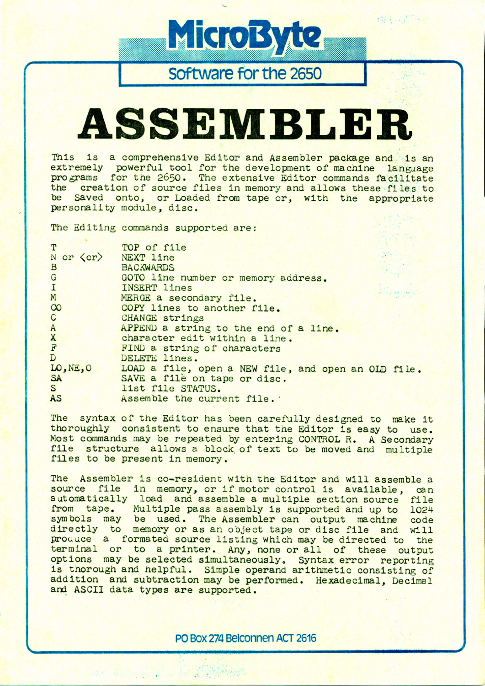Software for the 2650

MicroByte

# ASSEMBLER

This is a comprehensive Editor and Assembler package and is an extremely powerful tool for the development of machine language programs for the 2650. The extensive Editor commands facilitate<br>the creation of source files in memory and allows these files to be Saved onto, or Loaded from tape or, with the appropriate personality module, disc.

The Editing commands supported are:

| T<br>N or $\langle$ cr $\rangle$ NEXT line<br>B | TOP of file<br><b>BACKWARDS</b>                     |
|-------------------------------------------------|-----------------------------------------------------|
| $\mathbf{G}$                                    | GOTO line number or memory address.                 |
| $\mathbf I$                                     | <b>INSERT lines</b><br>Donat in                     |
| M                                               | MERGE a secondary file.                             |
| CO                                              | COPY lines to another file.                         |
| $\mathsf{C}$                                    | CHANGE strings                                      |
| $\mathbf{A}$                                    | APPEND a string to the end of a line.               |
| $\mathbf{x}$                                    | character edit within a line.                       |
| $\frac{1}{\mathbf{A}}$                          | FIND a string of characters                         |
|                                                 | DELETE lines.                                       |
| LO, NE, O                                       | LOAD a file, open a NEW file, and open an OLD file. |
| <b>SA</b>                                       | SAVE a file on tape or disc.                        |
| S                                               | list file STATUS.                                   |
| AS                                              | Assemble the current file.                          |

The syntax of the Editor has been carefully designed to make it thoroughly consistent to ensure that the Editor is easy to use. Most commands may be repeated by entering CONTROL R. A Secondary file structure allows a block of text to be moved and multiple files to be present in memory.

The Assembler is co-resident with the Editor and will assemble a source file in memory, or if motor control is available. can automatically load and assemble a multiple section source file from tape. Multiple pass assembly is supported and up to 1024 symbols may be used. The Assembler can output machine code directly to memory or as an object tape or disc file and will produce a formated source listing which may be directed to the terminal or to a printer. Any, none or all of these output options may be selected simultaneously. Syntax error reporting is thorough and helpful. Simple operand arithmetic consisting of addition and subtraction may be performed. Hexadecimal, Decimal and ASCII data types are supported.

PO Box 274 Belconnen ACT 2616

**Comment of the Comment of Comments**